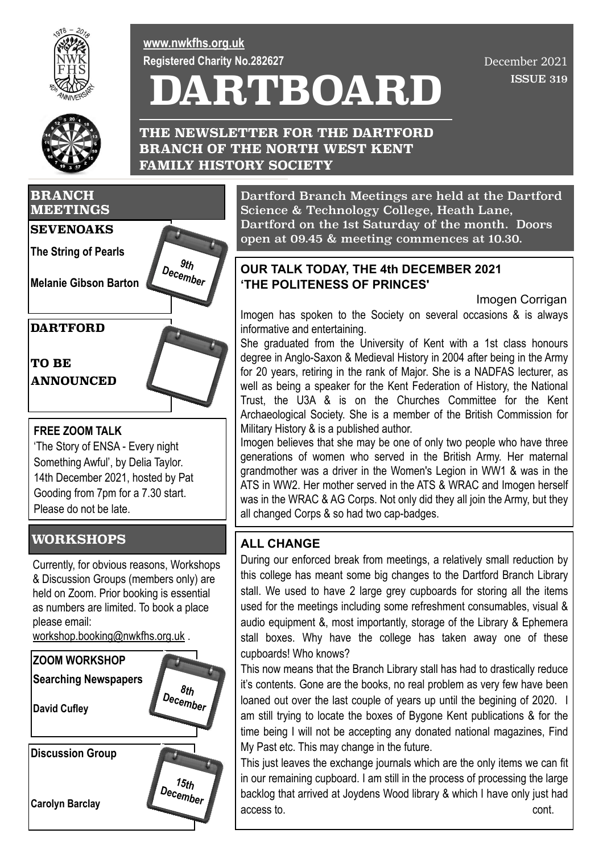

**[www.nwkfhs.org.uk](http://www.nwkfhs.org.uk) Registered Charity No.282627**

# **DARTBOARD**

 ISSUE 319 December 2021



**THE NEWSLETTER FOR THE DARTFORD BRANCH OF THE NORTH WEST KENT FAMILY HISTORY SOCIETY**



### **FREE ZOOM TALK**

'The Story of ENSA - Every night Something Awful', by Delia Taylor. 14th December 2021, hosted by Pat Gooding from 7pm for a 7.30 start. Please do not be late.

# **WORKSHOPS**

Currently, for obvious reasons, Workshops & Discussion Groups (members only) are held on Zoom. Prior booking is essential as numbers are limited. To book a place please email:

[workshop.booking@nwkfhs.org.uk](mailto:workshop.booking@nwkfhs.org.uk) .



Dartford Branch Meetings are held at the Dartford Science & Technology College, Heath Lane, Dartford on the 1st Saturday of the month. Doors open at 09.45 & meeting commences at 10.30.

### **OUR TALK TODAY, THE 4th DECEMBER 2021 'THE POLITENESS OF PRINCES'**

Imogen Corrigan

Imogen has spoken to the Society on several occasions & is always informative and entertaining.

She graduated from the University of Kent with a 1st class honours degree in Anglo-Saxon & Medieval History in 2004 after being in the Army for 20 years, retiring in the rank of Major. She is a NADFAS lecturer, as well as being a speaker for the Kent Federation of History, the National Trust, the U3A & is on the Churches Committee for the Kent Archaeological Society. She is a member of the British Commission for Military History & is a published author.

Imogen believes that she may be one of only two people who have three generations of women who served in the British Army. Her maternal grandmother was a driver in the Women's Legion in WW1 & was in the ATS in WW2. Her mother served in the ATS & WRAC and Imogen herself was in the WRAC & AG Corps. Not only did they all join the Army, but they all changed Corps & so had two cap-badges.

# **ALL CHANGE**

During our enforced break from meetings, a relatively small reduction by this college has meant some big changes to the Dartford Branch Library stall. We used to have 2 large grey cupboards for storing all the items used for the meetings including some refreshment consumables, visual & audio equipment &, most importantly, storage of the Library & Ephemera stall boxes. Why have the college has taken away one of these cupboards! Who knows?

This now means that the Branch Library stall has had to drastically reduce it's contents. Gone are the books, no real problem as very few have been loaned out over the last couple of years up until the begining of 2020. I am still trying to locate the boxes of Bygone Kent publications & for the time being I will not be accepting any donated national magazines, Find My Past etc. This may change in the future.

This just leaves the exchange journals which are the only items we can fit in our remaining cupboard. I am still in the process of processing the large backlog that arrived at Joydens Wood library & which I have only just had access to. cont.